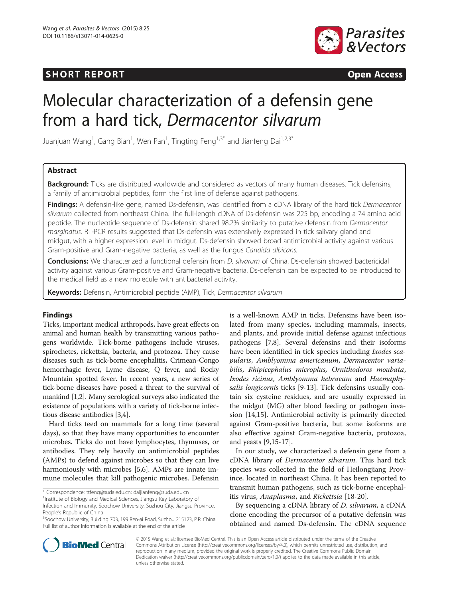## SHORT REPORT **The Contract of the Contract of Contract Contract Open Access**



# Molecular characterization of a defensin gene from a hard tick, Dermacentor silvarum

Juanjuan Wang<sup>1</sup>, Gang Bian<sup>1</sup>, Wen Pan<sup>1</sup>, Tingting Feng<sup>1,3\*</sup> and Jianfeng Dai<sup>1,2,3\*</sup>

## Abstract

Background: Ticks are distributed worldwide and considered as vectors of many human diseases. Tick defensins, a family of antimicrobial peptides, form the first line of defense against pathogens.

Findings: A defensin-like gene, named Ds-defensin, was identified from a cDNA library of the hard tick Dermacentor silvarum collected from northeast China. The full-length cDNA of Ds-defensin was 225 bp, encoding a 74 amino acid peptide. The nucleotide sequence of Ds-defensin shared 98.2% similarity to putative defensin from Dermacentor marginatus. RT-PCR results suggested that Ds-defensin was extensively expressed in tick salivary gland and midgut, with a higher expression level in midgut. Ds-defensin showed broad antimicrobial activity against various Gram-positive and Gram-negative bacteria, as well as the fungus Candida albicans.

Conclusions: We characterized a functional defensin from *D. silvarum* of China. Ds-defensin showed bactericidal activity against various Gram-positive and Gram-negative bacteria. Ds-defensin can be expected to be introduced to the medical field as a new molecule with antibacterial activity.

Keywords: Defensin, Antimicrobial peptide (AMP), Tick, Dermacentor silvarum

## Findings

Ticks, important medical arthropods, have great effects on animal and human health by transmitting various pathogens worldwide. Tick-borne pathogens include viruses, spirochetes, rickettsia, bacteria, and protozoa. They cause diseases such as tick-borne encephalitis, Crimean-Congo hemorrhagic fever, Lyme disease, Q fever, and Rocky Mountain spotted fever. In recent years, a new series of tick-borne diseases have posed a threat to the survival of mankind [\[1,2\]](#page-3-0). Many serological surveys also indicated the existence of populations with a variety of tick-borne infectious disease antibodies [[3,4](#page-3-0)].

Hard ticks feed on mammals for a long time (several days), so that they have many opportunities to encounter microbes. Ticks do not have lymphocytes, thymuses, or antibodies. They rely heavily on antimicrobial peptides (AMPs) to defend against microbes so that they can live harmoniously with microbes [\[5](#page-3-0),[6](#page-3-0)]. AMPs are innate immune molecules that kill pathogenic microbes. Defensin

\* Correspondence: [ttfeng@suda.edu.cn](mailto:ttfeng@suda.edu.cn); [daijianfeng@suda.edu.cn](mailto:daijianfeng@suda.edu.cn) <sup>1</sup>

<sup>1</sup> Institute of Biology and Medical Sciences, Jiangsu Key Laboratory of Infection and Immunity, Soochow University, Suzhou City, Jiangsu Province, People's Republic of China

<sup>3</sup>Soochow University, Building 703, 199 Ren-ai Road, Suzhou 215123, P.R. China Full list of author information is available at the end of the article

is a well-known AMP in ticks. Defensins have been isolated from many species, including mammals, insects, and plants, and provide initial defense against infectious pathogens [\[7,8](#page-3-0)]. Several defensins and their isoforms have been identified in tick species including Ixodes scapularis, Amblyomma americanum, Dermacentor variabilis, Rhipicephalus microplus, Ornithodoros moubata, Ixodes ricinus, Amblyomma hebraeum and Haemaphysalis longicornis ticks [\[9](#page-3-0)-[13\]](#page-3-0). Tick defensins usually contain six cysteine residues, and are usually expressed in the midgut (MG) after blood feeding or pathogen invasion [[14,](#page-3-0)[15\]](#page-4-0). Antimicrobial activity is primarily directed against Gram-positive bacteria, but some isoforms are also effective against Gram-negative bacteria, protozoa, and yeasts [[9,](#page-3-0)[15-17](#page-4-0)].

In our study, we characterized a defensin gene from a cDNA library of Dermacentor silvarum. This hard tick species was collected in the field of Heilongjiang Province, located in northeast China. It has been reported to transmit human pathogens, such as tick-borne encephalitis virus, Anaplasma, and Rickettsia [[18](#page-4-0)-[20\]](#page-4-0).

By sequencing a cDNA library of D. silvarum, a cDNA clone encoding the precursor of a putative defensin was obtained and named Ds-defensin. The cDNA sequence



© 2015 Wang et al.; licensee BioMed Central. This is an Open Access article distributed under the terms of the Creative Commons Attribution License [\(http://creativecommons.org/licenses/by/4.0\)](http://creativecommons.org/licenses/by/4.0), which permits unrestricted use, distribution, and reproduction in any medium, provided the original work is properly credited. The Creative Commons Public Domain Dedication waiver [\(http://creativecommons.org/publicdomain/zero/1.0/](http://creativecommons.org/publicdomain/zero/1.0/)) applies to the data made available in this article, unless otherwise stated.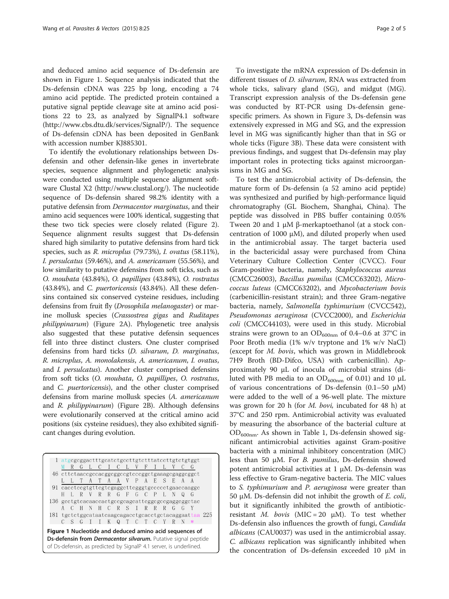and deduced amino acid sequence of Ds-defensin are shown in Figure 1. Sequence analysis indicated that the Ds-defensin cDNA was 225 bp long, encoding a 74 amino acid peptide. The predicted protein contained a putative signal peptide cleavage site at amino acid positions 22 to 23, as analyzed by SignalP4.1 software ([http://www.cbs.dtu.dk/services/SignalP/\)](http://www.cbs.dtu.dk/services/SignalP/). The sequence of Ds-defensin cDNA has been deposited in GenBank with accession number KJ885301.

To identify the evolutionary relationships between Dsdefensin and other defensin-like genes in invertebrate species, sequence alignment and phylogenetic analysis were conducted using multiple sequence alignment software Clustal X2 ([http://www.clustal.org/\)](http://www.clustal.org/). The nucleotide sequence of Ds-defensin shared 98.2% identity with a putative defensin from Dermacentor marginatus, and their amino acid sequences were 100% identical, suggesting that these two tick species were closely related (Figure [2](#page-2-0)). Sequence alignment results suggest that Ds-defensin shared high similarity to putative defensins from hard tick species, such as R. microplus (79.73%), I. ovatus (58.11%), I. persulcatus (59.46%), and A. americanum (55.56%), and low similarity to putative defensins from soft ticks, such as O. moubata (43.84%), O. papillipes (43.84%), O. rostratus (43.84%), and C. puertoricensis (43.84%). All these defensins contained six conserved cysteine residues, including defensins from fruit fly (Drosophila melanogaster) or marine mollusk species (Crassostrea gigas and Ruditapes philippinarum) (Figure [2](#page-2-0)A). Phylogenetic tree analysis also suggested that these putative defensin sequences fell into three distinct clusters. One cluster comprised defensins from hard ticks (D. silvarum, D. marginatus, R. microplus, A. monolakensis, A. americanum, I. ovatus, and I. persulcatus). Another cluster comprised defensins from soft ticks (O. moubata, O. papillipes, O. rostratus, and C. puertoricensis), and the other cluster comprised defensins from marine mollusk species (A. americanum and R. philippinarum) (Figure [2](#page-2-0)B). Although defensins were evolutionarily conserved at the critical amino acid positions (six cysteine residues), they also exhibited significant changes during evolution.

|                                                                                                                                      |  |  |  |   |     |       |             |          |  |            |   |               |   |             | 1 atgcgcggactttgcatctgccttgtctttatccttgtctgtggt       |  |
|--------------------------------------------------------------------------------------------------------------------------------------|--|--|--|---|-----|-------|-------------|----------|--|------------|---|---------------|---|-------------|-------------------------------------------------------|--|
|                                                                                                                                      |  |  |  |   |     |       |             | GLCICLVF |  |            |   | $\top$ $\top$ |   |             | $\mathcal{G}$                                         |  |
|                                                                                                                                      |  |  |  |   |     |       |             |          |  |            |   |               |   |             | 46 ettetaacegeeaeggeggeegteeeggetgaaagegaggegget      |  |
|                                                                                                                                      |  |  |  |   | A   | T     |             | A A V P  |  |            | A | E             | S | - F         |                                                       |  |
|                                                                                                                                      |  |  |  |   |     |       |             |          |  |            |   |               |   |             | 91 cacctccgtgttcgtcgaggcttcgggtgccccctgaaccaaggc      |  |
|                                                                                                                                      |  |  |  | R |     |       | $R$ $R$ $G$ |          |  | $F$ G C    |   | $\mathsf{P}$  |   | $\mathbf N$ | G                                                     |  |
|                                                                                                                                      |  |  |  |   |     |       |             |          |  |            |   |               |   |             | 136 geetgteacaaccactgeegeageatteggegeegaggeggetac     |  |
|                                                                                                                                      |  |  |  |   | - N | H C R |             |          |  | $S \cap R$ |   | R             | R | G           |                                                       |  |
|                                                                                                                                      |  |  |  |   |     |       |             |          |  |            |   |               |   |             | 181 tgctctggcataatcaagcagacctgcacctgctacaggaattaa 225 |  |
|                                                                                                                                      |  |  |  |   |     |       | K Q         |          |  | $\Gamma$   |   |               |   |             | $\ast$                                                |  |
| Figure 1 Nucleotide and deduced amino acid sequences of                                                                              |  |  |  |   |     |       |             |          |  |            |   |               |   |             |                                                       |  |
| Ds-defensin from Dermacentor silvarum. Putative signal peptide<br>of Ds-defensin, as predicted by SignalP 4.1 server, is underlined. |  |  |  |   |     |       |             |          |  |            |   |               |   |             |                                                       |  |

To investigate the mRNA expression of Ds-defensin in different tissues of *D. silvarum*, RNA was extracted from whole ticks, salivary gland (SG), and midgut (MG). Transcript expression analysis of the Ds-defensin gene was conducted by RT-PCR using Ds-defensin genespecific primers. As shown in Figure [3,](#page-2-0) Ds-defensin was extensively expressed in MG and SG, and the expression level in MG was significantly higher than that in SG or whole ticks (Figure [3](#page-2-0)B). These data were consistent with previous findings, and suggest that Ds-defensin may play important roles in protecting ticks against microorganisms in MG and SG.

To test the antimicrobial activity of Ds-defensin, the mature form of Ds-defensin (a 52 amino acid peptide) was synthesized and purified by high-performance liquid chromatography (GL Biochem, Shanghai, China). The peptide was dissolved in PBS buffer containing 0.05% Tween 20 and 1 μM β-merkaptoethanol (at a stock concentration of 1000  $\mu$ M), and diluted properly when used in the antimicrobial assay. The target bacteria used in the bactericidal assay were purchased from China Veterinary Culture Collection Center (CVCC). Four Gram-positive bacteria, namely, Staphylococcus aureus (CMCC26003), Bacillus pumilus (CMCC63202), Micrococcus luteus (CMCC63202), and Mycobacterium bovis (carbenicillin-resistant strain); and three Gram-negative bacteria, namely, Salmonella typhimurium (CVCC542), Pseudomonas aeruginosa (CVCC2000), and Escherichia coli (CMCC44103), were used in this study. Microbial strains were grown to an  $OD_{600nm}$  of 0.4–0.6 at 37°C in Poor Broth media (1% w/v tryptone and 1% w/v NaCl) (except for M. bovis, which was grown in Middlebrook 7H9 Broth (BD-Difco, USA) with carbenicillin). Approximately 90 μL of inocula of microbial strains (diluted with PB media to an  $OD_{600nm}$  of 0.01) and 10 μL of various concentrations of Ds-defensin (0.1–50 μM) were added to the well of a 96-well plate. The mixture was grown for 20 h (for M. bovi, incubated for 48 h) at 37°C and 250 rpm. Antimicrobial activity was evaluated by measuring the absorbance of the bacterial culture at  $OD_{600nm}$ . As shown in Table [1](#page-2-0), Ds-defensin showed significant antimicrobial activities against Gram-positive bacteria with a minimal inhibitory concentration (MIC) less than 50 μM. For *B. pumilus*, Ds-defensin showed potent antimicrobial activities at 1 μM. Ds-defensin was less effective to Gram-negative bacteria. The MIC values to S. typhimurium and P. aeruginosa were greater than 50 μM. Ds-defensin did not inhibit the growth of  $E.$  coli, but it significantly inhibited the growth of antibioticresistant *M. bovis* (MIC = 20  $\mu$ M). To test whether Ds-defensin also influences the growth of fungi, Candida albicans (CAU0037) was used in the antimicrobial assay. C. albicans replication was significantly inhibited when the concentration of Ds-defensin exceeded 10 μM in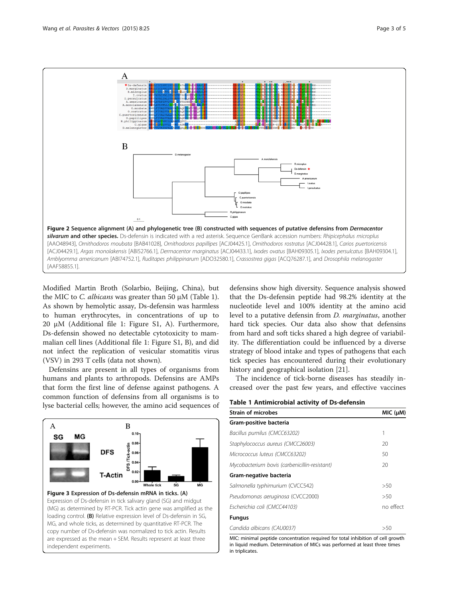<span id="page-2-0"></span>

Modified Martin Broth (Solarbio, Beijing, China), but the MIC to C. albicans was greater than 50 μM (Table 1). As shown by hemolytic assay, Ds-defensin was harmless to human erythrocytes, in concentrations of up to 20 μM (Additional file [1](#page-3-0): Figure S1, A). Furthermore, Ds-defensin showed no detectable cytotoxicity to mammalian cell lines (Additional file [1:](#page-3-0) Figure S1, B), and did not infect the replication of vesicular stomatitis virus (VSV) in 293 T cells (data not shown).

Defensins are present in all types of organisms from humans and plants to arthropods. Defensins are AMPs that form the first line of defense against pathogens. A common function of defensins from all organisms is to lyse bacterial cells; however, the amino acid sequences of





defensins show high diversity. Sequence analysis showed that the Ds-defensin peptide had 98.2% identity at the nucleotide level and 100% identity at the amino acid level to a putative defensin from D. marginatus, another hard tick species. Our data also show that defensins from hard and soft ticks shared a high degree of variability. The differentiation could be influenced by a diverse strategy of blood intake and types of pathogens that each tick species has encountered during their evolutionary history and geographical isolation [[21\]](#page-4-0).

The incidence of tick-borne diseases has steadily increased over the past few years, and effective vaccines

| Table 1 Antimicrobial activity of Ds-defensin |  |  |  |
|-----------------------------------------------|--|--|--|
|-----------------------------------------------|--|--|--|

| <b>Strain of microbes</b>                     | MIC (µM)   |  |  |
|-----------------------------------------------|------------|--|--|
| Gram-positive bacteria                        |            |  |  |
| Bacillus pumilus (CMCC63202)                  | 1          |  |  |
| Staphylococcus aureus (CMCC26003)             | 20         |  |  |
| Micrococcus luteus (CMCC63202)                | 50         |  |  |
| Mycobacterium bovis (carbenicillin-resistant) | 20         |  |  |
| Gram-negative bacteria                        |            |  |  |
| Salmonella typhimurium (CVCC542)              | >50        |  |  |
| Pseudomonas aeruginosa (CVCC2000)             | >50        |  |  |
| Escherichia coli (CMCC44103)                  | no effect. |  |  |
| <b>Fungus</b>                                 |            |  |  |
| Candida albicans (CAU0037)                    | >50        |  |  |

MIC: minimal peptide concentration required for total inhibition of cell growth in liquid medium. Determination of MICs was performed at least three times in triplicates.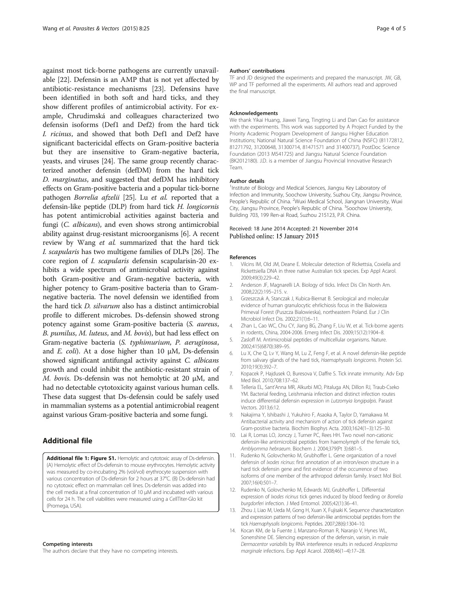<span id="page-3-0"></span>against most tick-borne pathogens are currently unavailable [[22](#page-4-0)]. Defensin is an AMP that is not yet affected by antibiotic-resistance mechanisms [[23\]](#page-4-0). Defensins have been identified in both soft and hard ticks, and they show different profiles of antimicrobial activity. For example, Chrudimská and colleagues characterized two defensin isoforms (Def1 and Def2) from the hard tick I. ricinus, and showed that both Def1 and Def2 have significant bactericidal effects on Gram-positive bacteria but they are insensitive to Gram-negative bacteria, yeasts, and viruses [[24](#page-4-0)]. The same group recently characterized another defensin (defDM) from the hard tick D. marginatus, and suggested that defDM has inhibitory effects on Gram-positive bacteria and a popular tick-borne pathogen Borrelia afzelii [\[25\]](#page-4-0). Lu et al. reported that a defensin-like peptide (DLP) from hard tick H. longicornis has potent antimicrobial activities against bacteria and fungi (C. albicans), and even shows strong antimicrobial ability against drug-resistant microorganisms [6]. A recent review by Wang et al. summarized that the hard tick I. scapularis has two multigene families of DLPs [[26](#page-4-0)]. The core region of I. scapularis defensin scapularisin-20 exhibits a wide spectrum of antimicrobial activity against both Gram-positive and Gram-negative bacteria, with higher potency to Gram-positive bacteria than to Gramnegative bacteria. The novel defensin we identified from the hard tick D. silvarum also has a distinct antimicrobial profile to different microbes. Ds-defensin showed strong potency against some Gram-positive bacteria (S. aureus, B. pumilus, M. luteus, and M. bovis), but had less effect on Gram-negative bacteria (S. typhimurium, P. aeruginosa, and E. coli). At a dose higher than 10  $\mu$ M, Ds-defensin showed significant antifungal activity against C. albicans growth and could inhibit the antibiotic-resistant strain of M. bovis. Ds-defensin was not hemolytic at 20 μM, and had no detectable cytotoxicity against various human cells. These data suggest that Ds-defensin could be safely used in mammalian systems as a potential antimicrobial reagent against various Gram-positive bacteria and some fungi.

## Additional file

[Additional file 1: Figure S1.](http://www.parasitesandvectors.com/content/supplementary/s13071-014-0625-0-s1.tiff) Hemolytic and cytotoxic assay of Ds-defensin. (A) Hemolytic effect of Ds-defensin to mouse erythrocytes. Hemolytic activity was measured by co-incubating 2% (vol/vol) erythrocyte suspension with various concentration of Ds-defensin for 2 hours at 37°C. (B) Ds-defensin had no cytotoxic effect on mammalian cell lines. Ds-defensin was added into the cell media at a final concentration of 10 μM and incubated with various cells for 24 h. The cell viabilities were measured using a CellTiter-Glo kit (Promega, USA).

#### Competing interests

The authors declare that they have no competing interests.

#### Authors' contributions

TF and JD designed the experiments and prepared the manuscript. JW, GB, WP and TF performed all the experiments. All authors read and approved the final manuscript.

#### Acknowledgements

We thank Yikai Huang, Jiawei Tang, Tingting Li and Dan Cao for assistance with the experiments. This work was supported by A Project Funded by the Priority Academic Program Development of Jiangsu Higher Education Institutions; National Natural Science Foundation of China (NSFC) (81172812, 81271792, 31200648, 31300714, 81471571 and 31400737), PostDoc Science Foundation (2013 M541725) and Jiangsu Natural Science Foundation (BK2012180). J.D. is a member of Jiangsu Provincial Innovative Research Team.

#### Author details

<sup>1</sup>Institute of Biology and Medical Sciences, Jiangsu Key Laboratory of Infection and Immunity, Soochow University, Suzhou City, Jiangsu Province, People's Republic of China. <sup>2</sup>Wuxi Medical School, Jiangnan University, Wuxi City, Jiangsu Province, People's Republic of China. <sup>3</sup>Soochow University Building 703, 199 Ren-ai Road, Suzhou 215123, P.R. China.

#### Received: 18 June 2014 Accepted: 21 November 2014 Published online: 15 January 2015

#### References

- 1. Vilcins IM, Old JM, Deane E. Molecular detection of Rickettsia, Coxiella and Rickettsiella DNA in three native Australian tick species. Exp Appl Acarol. 2009;49(3):229–42.
- 2. Anderson JF, Magnarelli LA. Biology of ticks. Infect Dis Clin North Am. 2008;22(2):195–215. v.
- 3. Grzeszczuk A, Stanczak J, Kubica-Biernat B. Serological and molecular evidence of human granulocytic ehrlichiosis focus in the Bialowieza Primeval Forest (Puszcza Bialowieska), northeastern Poland. Eur J Clin Microbiol Infect Dis. 2002;21(1):6–11.
- 4. Zhan L, Cao WC, Chu CY, Jiang BG, Zhang F, Liu W, et al. Tick-borne agents in rodents, China, 2004-2006. Emerg Infect Dis. 2009;15(12):1904–8.
- 5. Zasloff M. Antimicrobial peptides of multicellular organisms. Nature. 2002;415(6870):389–95.
- Lu X, Che Q, Lv Y, Wang M, Lu Z, Feng F, et al. A novel defensin-like peptide from salivary glands of the hard tick, Haemaphysalis longicornis. Protein Sci. 2010;19(3):392–7.
- 7. Kopacek P, Hajdusek O, Buresova V, Daffre S. Tick innate immunity. Adv Exp Med Biol. 2010;708:137–62.
- 8. Telleria EL, Sant'Anna MR, Alkurbi MO, Pitaluga AN, Dillon RJ, Traub-Cseko YM. Bacterial feeding, Leishmania infection and distinct infection routes induce differential defensin expression in Lutzomyia longipalpis. Parasit Vectors. 2013;6:12.
- 9. Nakajima Y, Ishibashi J, Yukuhiro F, Asaoka A, Taylor D, Yamakawa M. Antibacterial activity and mechanism of action of tick defensin against Gram-positive bacteria. Biochim Biophys Acta. 2003;1624(1–3):125–30.
- 10. Lai R, Lomas LO, Jonczy J, Turner PC, Rees HH. Two novel non-cationic defensin-like antimicrobial peptides from haemolymph of the female tick, Amblyomma hebraeum. Biochem J. 2004;379(Pt 3):681–5.
- 11. Rudenko N, Golovchenko M, Grubhoffer L. Gene organization of a novel defensin of Ixodes ricinus: first annotation of an intron/exon structure in a hard tick defensin gene and first evidence of the occurrence of two isoforms of one member of the arthropod defensin family. Insect Mol Biol. 2007;16(4):501–7.
- 12. Rudenko N, Golovchenko M, Edwards MJ, Grubhoffer L. Differential expression of Ixodes ricinus tick genes induced by blood feeding or Borrelia burgdorferi infection. J Med Entomol. 2005;42(1):36–41.
- 13. Zhou J, Liao M, Ueda M, Gong H, Xuan X, Fujisaki K. Sequence characterization and expression patterns of two defensin-like antimicrobial peptides from the tick Haemaphysalis longicornis. Peptides. 2007;28(6):1304–10.
- 14. Kocan KM, de la Fuente J, Manzano-Roman R, Naranjo V, Hynes WL, Sonenshine DE. Silencing expression of the defensin, varisin, in male Dermacentor variabilis by RNA interference results in reduced Anaplasma marginale infections. Exp Appl Acarol. 2008;46(1–4):17–28.